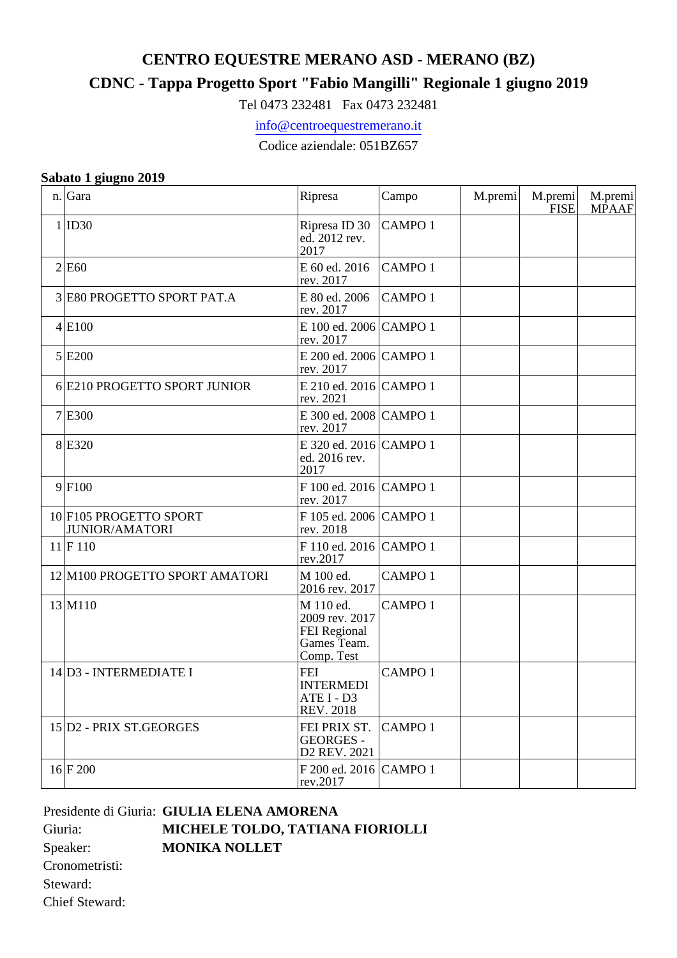## **CENTRO EQUESTRE MERANO ASD - MERANO (BZ)**

## **CDNC - Tappa Progetto Sport "Fabio Mangilli" Regionale 1 giugno 2019**

Tel 0473 232481 Fax 0473 232481

info@centroequestremerano.it

Codice aziendale: 051BZ657

## **Sabato 1 giugno 2019**

| n. | Gara                                            | Ripresa                                                                         | Campo         | M.premi | M.premi<br><b>FISE</b> | M.premi<br><b>MPAAF</b> |
|----|-------------------------------------------------|---------------------------------------------------------------------------------|---------------|---------|------------------------|-------------------------|
|    | 1 ID30                                          | Ripresa ID 30<br>ed. 2012 rev.<br>2017                                          | <b>CAMPO1</b> |         |                        |                         |
|    | 2 E60                                           | E 60 ed. 2016<br>rev. 2017                                                      | <b>CAMPO1</b> |         |                        |                         |
| 3  | E80 PROGETTO SPORT PAT.A                        | E 80 ed. 2006<br>rev. 2017                                                      | <b>CAMPO1</b> |         |                        |                         |
|    | 4 E100                                          | E 100 ed. 2006 CAMPO 1<br>rev. 2017                                             |               |         |                        |                         |
|    | 5 E200                                          | E 200 ed. 2006 CAMPO 1<br>rev. 2017                                             |               |         |                        |                         |
|    | 6 E210 PROGETTO SPORT JUNIOR                    | E 210 ed. 2016 CAMPO 1<br>rev. 2021                                             |               |         |                        |                         |
|    | $7$ E300                                        | E 300 ed. 2008 CAMPO 1<br>rev. 2017                                             |               |         |                        |                         |
|    | 8 E320                                          | E 320 ed. 2016 CAMPO 1<br>ed. 2016 rev.<br>2017                                 |               |         |                        |                         |
|    | 9 F100                                          | F 100 ed. 2016 CAMPO 1<br>rev. 2017                                             |               |         |                        |                         |
|    | 10 F105 PROGETTO SPORT<br><b>JUNIOR/AMATORI</b> | F 105 ed. 2006 CAMPO 1<br>rev. 2018                                             |               |         |                        |                         |
|    | 11 F110                                         | F 110 ed. 2016 CAMPO 1<br>rev.2017                                              |               |         |                        |                         |
|    | 12 M100 PROGETTO SPORT AMATORI                  | M 100 ed.<br>2016 rev. 2017                                                     | <b>CAMPO1</b> |         |                        |                         |
|    | 13 M110                                         | M 110 ed.<br>2009 rev. 2017<br><b>FEI Regional</b><br>Games Team.<br>Comp. Test | <b>CAMPO1</b> |         |                        |                         |
|    | 14 D3 - INTERMEDIATE I                          | <b>FEI</b><br><b>INTERMEDI</b><br>ATE I - D3<br><b>REV. 2018</b>                | <b>CAMPO1</b> |         |                        |                         |
|    | 15 D <sub>2</sub> - PRIX ST.GEORGES             | FEI PRIX ST.<br><b>GEORGES -</b><br>D2 REV. 2021                                | <b>CAMPO1</b> |         |                        |                         |
|    | 16 F200                                         | F 200 ed. 2016 CAMPO 1<br>rev.2017                                              |               |         |                        |                         |

## Presidente di Giuria: **GIULIA ELENA AMORENA** Giuria: **MICHELE TOLDO, TATIANA FIORIOLLI** Speaker: **MONIKA NOLLET** Cronometristi: Steward:

Chief Steward: